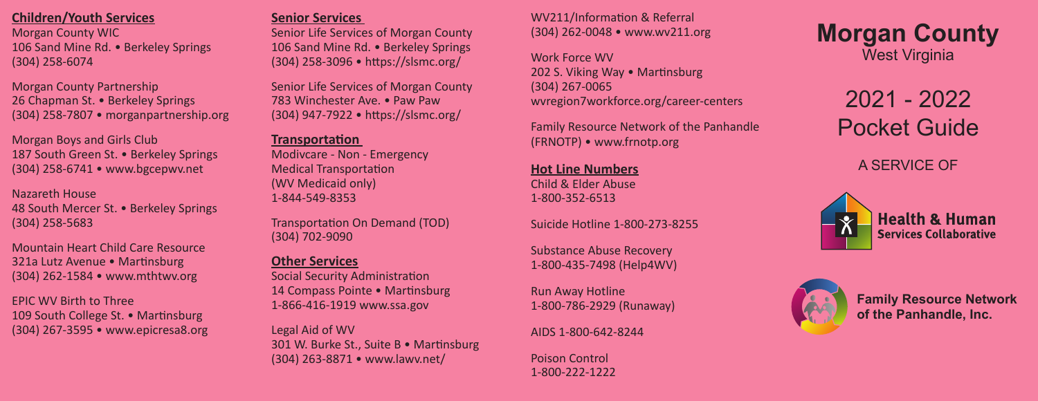# **Children/Youth Services**

Morgan County WIC 106 Sand Mine Rd. • Berkeley Springs (304) 258-6074

Morgan County Partnership 26 Chapman St. • Berkeley Springs (304) 258-7807 • morganpartnership.org

Morgan Boys and Girls Club 187 South Green St. • Berkeley Springs (304) 258-6741 • www.bgcepwv.net

Nazareth House 48 South Mercer St. • Berkeley Springs (304) 258-5683

Mountain Heart Child Care Resource 321a Lutz Avenue • Martinsburg (304) 262-1584 • www.mthtwv.org

EPIC WV Birth to Three 109 South College St. • Martinsburg (304) 267-3595 • www.epicresa8.org

#### **Senior Services**

Senior Life Services of Morgan County 106 Sand Mine Rd. • Berkeley Springs (304) 258-3096 • https://slsmc.org/

Senior Life Services of Morgan County 783 Winchester Ave. • Paw Paw (304) 947-7922 • https://slsmc.org/

#### **Transportation**

Modivcare - Non - Emergency Medical Transportation (WV Medicaid only) 1-844-549-8353

Transportation On Demand (TOD) (304) 702-9090

# **Other Services**

Social Security Administration 14 Compass Pointe • Martinsburg 1-866-416-1919 www.ssa.gov

Legal Aid of WV 301 W. Burke St., Suite B • Martinsburg (304) 263-8871 • www.lawv.net/

#### WV211/Information & Referral (304) 262-0048 • www.wv211.org

Work Force WV 202 S. Viking Way • Martinsburg (304) 267-0065 wvregion7workforce.org/career-centers

Family Resource Network of the Panhandle (FRNOTP) • www.frnotp.org

**Hot Line Numbers** Child & Elder Abuse 1-800-352-6513

Suicide Hotline 1-800-273-8255

Substance Abuse Recovery 1-800-435-7498 (Help4WV)

Run Away Hotline 1-800-786-2929 (Runaway)

AIDS 1-800-642-8244

Poison Control 1-800-222-1222 **Morgan County** West Virginia

> 2021 - 2022 Pocket Guide

> > A SERVICE OF





**Family Resource Network of the Panhandle, Inc.**